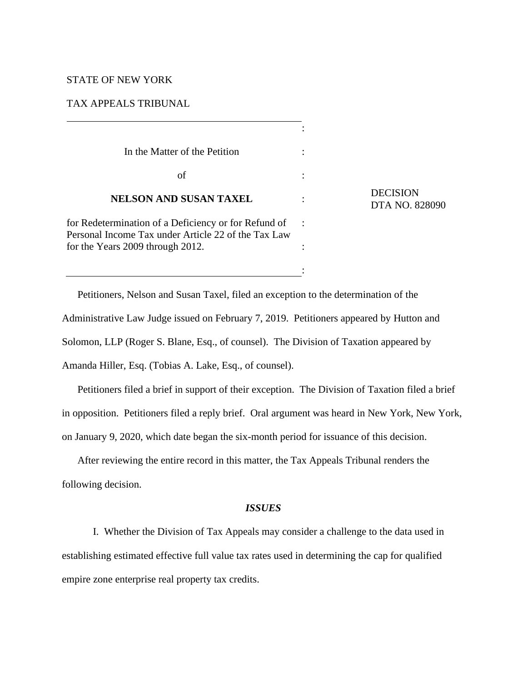### STATE OF NEW YORK

### TAX APPEALS TRIBUNAL

| In the Matter of the Petition                                                                               |  |
|-------------------------------------------------------------------------------------------------------------|--|
| οf                                                                                                          |  |
| <b>NELSON AND SUSAN TAXEL</b>                                                                               |  |
| for Redetermination of a Deficiency or for Refund of<br>Personal Income Tax under Article 22 of the Tax Law |  |
| for the Years 2009 through 2012.                                                                            |  |

**DECISION** DTA NO. 828090

Petitioners, Nelson and Susan Taxel, filed an exception to the determination of the Administrative Law Judge issued on February 7, 2019. Petitioners appeared by Hutton and Solomon, LLP (Roger S. Blane, Esq., of counsel). The Division of Taxation appeared by Amanda Hiller, Esq. (Tobias A. Lake, Esq., of counsel).

:

Petitioners filed a brief in support of their exception. The Division of Taxation filed a brief in opposition. Petitioners filed a reply brief. Oral argument was heard in New York, New York, on January 9, 2020, which date began the six-month period for issuance of this decision.

After reviewing the entire record in this matter, the Tax Appeals Tribunal renders the following decision.

# *ISSUES*

 I. Whether the Division of Tax Appeals may consider a challenge to the data used in establishing estimated effective full value tax rates used in determining the cap for qualified empire zone enterprise real property tax credits.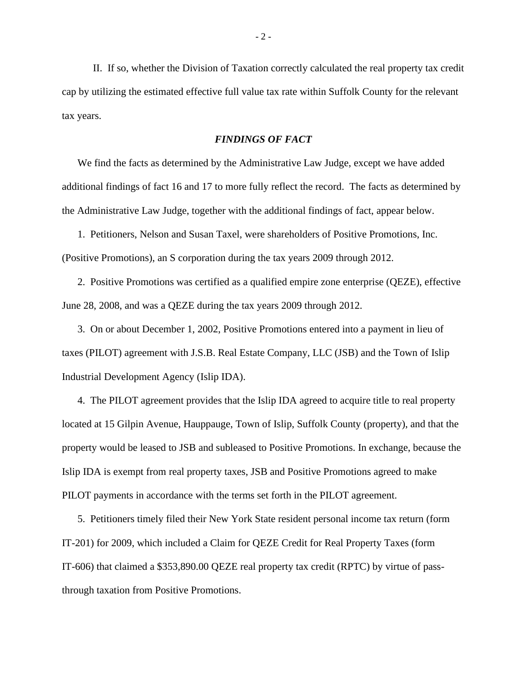II. If so, whether the Division of Taxation correctly calculated the real property tax credit cap by utilizing the estimated effective full value tax rate within Suffolk County for the relevant tax years.

## *FINDINGS OF FACT*

We find the facts as determined by the Administrative Law Judge, except we have added additional findings of fact 16 and 17 to more fully reflect the record. The facts as determined by the Administrative Law Judge, together with the additional findings of fact, appear below.

1. Petitioners, Nelson and Susan Taxel, were shareholders of Positive Promotions, Inc. (Positive Promotions), an S corporation during the tax years 2009 through 2012.

2. Positive Promotions was certified as a qualified empire zone enterprise (QEZE), effective June 28, 2008, and was a QEZE during the tax years 2009 through 2012.

3. On or about December 1, 2002, Positive Promotions entered into a payment in lieu of taxes (PILOT) agreement with J.S.B. Real Estate Company, LLC (JSB) and the Town of Islip Industrial Development Agency (Islip IDA).

4. The PILOT agreement provides that the Islip IDA agreed to acquire title to real property located at 15 Gilpin Avenue, Hauppauge, Town of Islip, Suffolk County (property), and that the property would be leased to JSB and subleased to Positive Promotions. In exchange, because the Islip IDA is exempt from real property taxes, JSB and Positive Promotions agreed to make PILOT payments in accordance with the terms set forth in the PILOT agreement.

5. Petitioners timely filed their New York State resident personal income tax return (form IT-201) for 2009, which included a Claim for QEZE Credit for Real Property Taxes (form IT-606) that claimed a \$353,890.00 QEZE real property tax credit (RPTC) by virtue of passthrough taxation from Positive Promotions.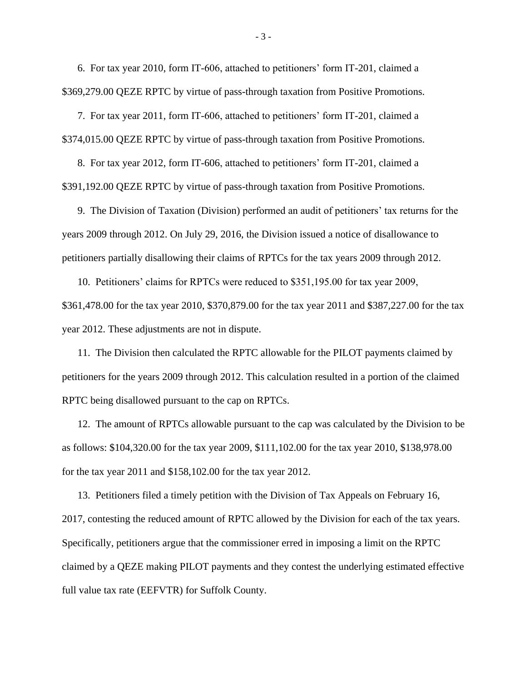6. For tax year 2010, form IT-606, attached to petitioners' form IT-201, claimed a \$369,279.00 QEZE RPTC by virtue of pass-through taxation from Positive Promotions.

7. For tax year 2011, form IT-606, attached to petitioners' form IT-201, claimed a \$374,015.00 QEZE RPTC by virtue of pass-through taxation from Positive Promotions.

8. For tax year 2012, form IT-606, attached to petitioners' form IT-201, claimed a \$391,192.00 QEZE RPTC by virtue of pass-through taxation from Positive Promotions.

9. The Division of Taxation (Division) performed an audit of petitioners' tax returns for the years 2009 through 2012. On July 29, 2016, the Division issued a notice of disallowance to petitioners partially disallowing their claims of RPTCs for the tax years 2009 through 2012.

10. Petitioners' claims for RPTCs were reduced to \$351,195.00 for tax year 2009, \$361,478.00 for the tax year 2010, \$370,879.00 for the tax year 2011 and \$387,227.00 for the tax year 2012. These adjustments are not in dispute.

11. The Division then calculated the RPTC allowable for the PILOT payments claimed by petitioners for the years 2009 through 2012. This calculation resulted in a portion of the claimed RPTC being disallowed pursuant to the cap on RPTCs.

12. The amount of RPTCs allowable pursuant to the cap was calculated by the Division to be as follows: \$104,320.00 for the tax year 2009, \$111,102.00 for the tax year 2010, \$138,978.00 for the tax year 2011 and \$158,102.00 for the tax year 2012.

13. Petitioners filed a timely petition with the Division of Tax Appeals on February 16, 2017, contesting the reduced amount of RPTC allowed by the Division for each of the tax years. Specifically, petitioners argue that the commissioner erred in imposing a limit on the RPTC claimed by a QEZE making PILOT payments and they contest the underlying estimated effective full value tax rate (EEFVTR) for Suffolk County.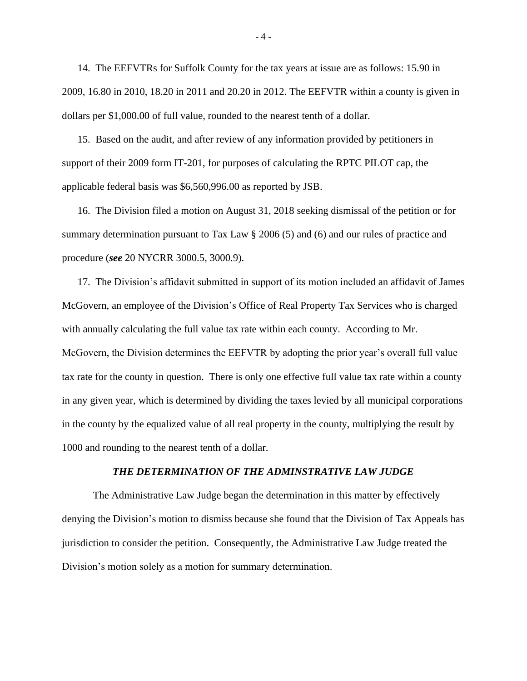14. The EEFVTRs for Suffolk County for the tax years at issue are as follows: 15.90 in 2009, 16.80 in 2010, 18.20 in 2011 and 20.20 in 2012. The EEFVTR within a county is given in dollars per \$1,000.00 of full value, rounded to the nearest tenth of a dollar.

15. Based on the audit, and after review of any information provided by petitioners in support of their 2009 form IT-201, for purposes of calculating the RPTC PILOT cap, the applicable federal basis was \$6,560,996.00 as reported by JSB.

16. The Division filed a motion on August 31, 2018 seeking dismissal of the petition or for summary determination pursuant to Tax Law § 2006 (5) and (6) and our rules of practice and procedure (*see* 20 NYCRR 3000.5, 3000.9).

17. The Division's affidavit submitted in support of its motion included an affidavit of James McGovern, an employee of the Division's Office of Real Property Tax Services who is charged with annually calculating the full value tax rate within each county. According to Mr. McGovern, the Division determines the EEFVTR by adopting the prior year's overall full value tax rate for the county in question. There is only one effective full value tax rate within a county in any given year, which is determined by dividing the taxes levied by all municipal corporations in the county by the equalized value of all real property in the county, multiplying the result by 1000 and rounding to the nearest tenth of a dollar.

#### *THE DETERMINATION OF THE ADMINSTRATIVE LAW JUDGE*

The Administrative Law Judge began the determination in this matter by effectively denying the Division's motion to dismiss because she found that the Division of Tax Appeals has jurisdiction to consider the petition. Consequently, the Administrative Law Judge treated the Division's motion solely as a motion for summary determination.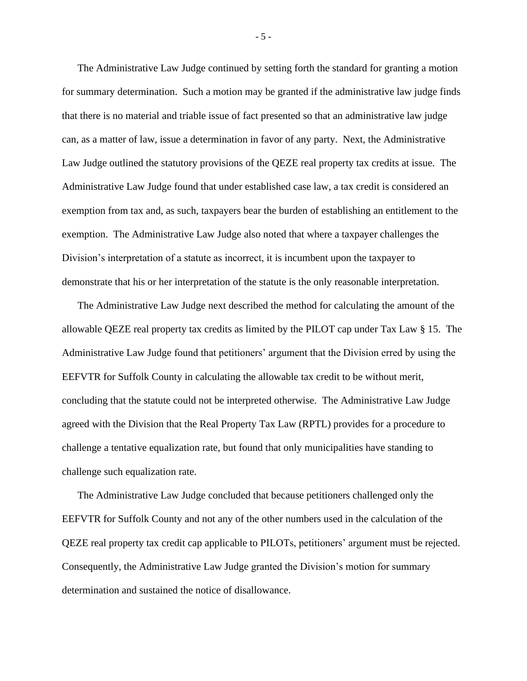The Administrative Law Judge continued by setting forth the standard for granting a motion for summary determination. Such a motion may be granted if the administrative law judge finds that there is no material and triable issue of fact presented so that an administrative law judge can, as a matter of law, issue a determination in favor of any party. Next, the Administrative Law Judge outlined the statutory provisions of the QEZE real property tax credits at issue. The Administrative Law Judge found that under established case law, a tax credit is considered an exemption from tax and, as such, taxpayers bear the burden of establishing an entitlement to the exemption. The Administrative Law Judge also noted that where a taxpayer challenges the Division's interpretation of a statute as incorrect, it is incumbent upon the taxpayer to demonstrate that his or her interpretation of the statute is the only reasonable interpretation.

The Administrative Law Judge next described the method for calculating the amount of the allowable QEZE real property tax credits as limited by the PILOT cap under Tax Law § 15. The Administrative Law Judge found that petitioners' argument that the Division erred by using the EEFVTR for Suffolk County in calculating the allowable tax credit to be without merit, concluding that the statute could not be interpreted otherwise. The Administrative Law Judge agreed with the Division that the Real Property Tax Law (RPTL) provides for a procedure to challenge a tentative equalization rate, but found that only municipalities have standing to challenge such equalization rate.

The Administrative Law Judge concluded that because petitioners challenged only the EEFVTR for Suffolk County and not any of the other numbers used in the calculation of the QEZE real property tax credit cap applicable to PILOTs, petitioners' argument must be rejected. Consequently, the Administrative Law Judge granted the Division's motion for summary determination and sustained the notice of disallowance.

- 5 -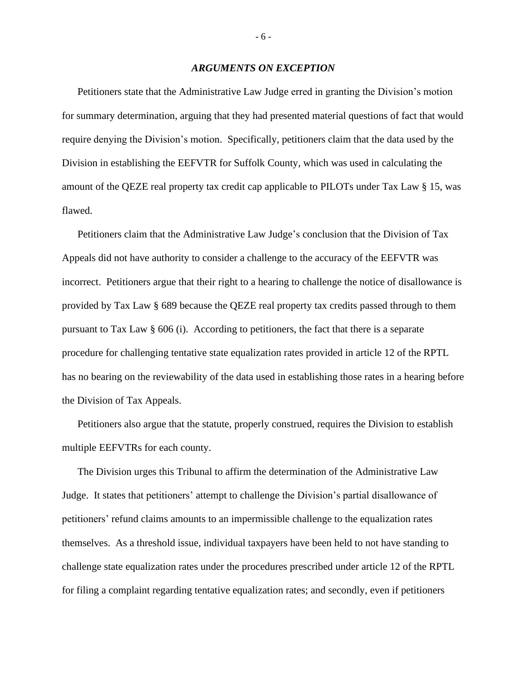#### *ARGUMENTS ON EXCEPTION*

Petitioners state that the Administrative Law Judge erred in granting the Division's motion for summary determination, arguing that they had presented material questions of fact that would require denying the Division's motion. Specifically, petitioners claim that the data used by the Division in establishing the EEFVTR for Suffolk County, which was used in calculating the amount of the QEZE real property tax credit cap applicable to PILOTs under Tax Law § 15, was flawed.

Petitioners claim that the Administrative Law Judge's conclusion that the Division of Tax Appeals did not have authority to consider a challenge to the accuracy of the EEFVTR was incorrect. Petitioners argue that their right to a hearing to challenge the notice of disallowance is provided by Tax Law § 689 because the QEZE real property tax credits passed through to them pursuant to Tax Law § 606 (i). According to petitioners, the fact that there is a separate procedure for challenging tentative state equalization rates provided in article 12 of the RPTL has no bearing on the reviewability of the data used in establishing those rates in a hearing before the Division of Tax Appeals.

Petitioners also argue that the statute, properly construed, requires the Division to establish multiple EEFVTRs for each county.

The Division urges this Tribunal to affirm the determination of the Administrative Law Judge. It states that petitioners' attempt to challenge the Division's partial disallowance of petitioners' refund claims amounts to an impermissible challenge to the equalization rates themselves. As a threshold issue, individual taxpayers have been held to not have standing to challenge state equalization rates under the procedures prescribed under article 12 of the RPTL for filing a complaint regarding tentative equalization rates; and secondly, even if petitioners

- 6 -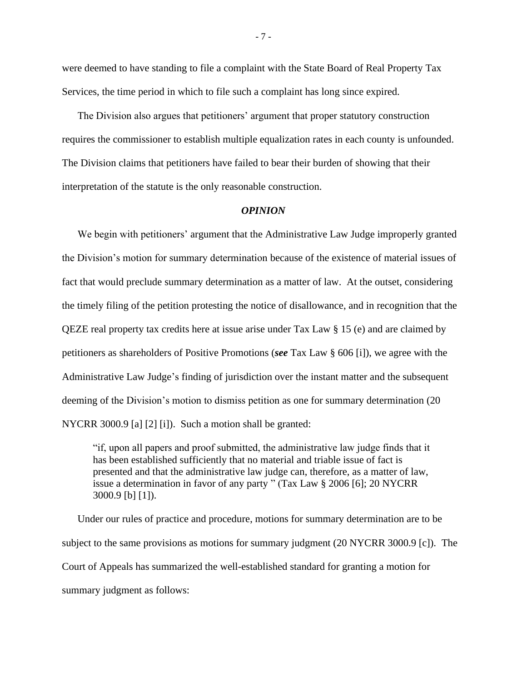were deemed to have standing to file a complaint with the State Board of Real Property Tax Services, the time period in which to file such a complaint has long since expired.

The Division also argues that petitioners' argument that proper statutory construction requires the commissioner to establish multiple equalization rates in each county is unfounded. The Division claims that petitioners have failed to bear their burden of showing that their interpretation of the statute is the only reasonable construction.

#### *OPINION*

We begin with petitioners' argument that the Administrative Law Judge improperly granted the Division's motion for summary determination because of the existence of material issues of fact that would preclude summary determination as a matter of law. At the outset, considering the timely filing of the petition protesting the notice of disallowance, and in recognition that the QEZE real property tax credits here at issue arise under Tax Law § 15 (e) and are claimed by petitioners as shareholders of Positive Promotions (*see* Tax Law § 606 [i]), we agree with the Administrative Law Judge's finding of jurisdiction over the instant matter and the subsequent deeming of the Division's motion to dismiss petition as one for summary determination (20 NYCRR 3000.9 [a] [2] [i]). Such a motion shall be granted:

"if, upon all papers and proof submitted, the administrative law judge finds that it has been established sufficiently that no material and triable issue of fact is presented and that the administrative law judge can, therefore, as a matter of law, issue a determination in favor of any party " (Tax Law § 2006 [6]; 20 NYCRR 3000.9 [b] [1]).

Under our rules of practice and procedure, motions for summary determination are to be subject to the same provisions as motions for summary judgment (20 NYCRR 3000.9 [c]). The Court of Appeals has summarized the well-established standard for granting a motion for summary judgment as follows:

- 7 -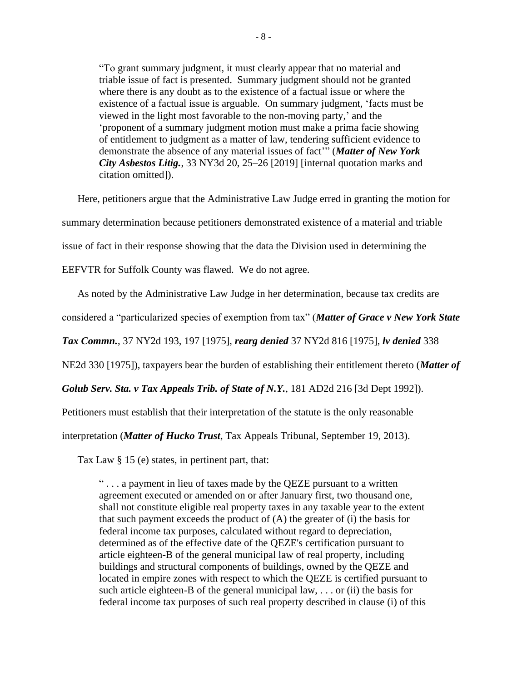"To grant summary judgment, it must clearly appear that no material and triable issue of fact is presented. Summary judgment should not be granted where there is any doubt as to the existence of a factual issue or where the existence of a factual issue is arguable. On summary judgment, 'facts must be viewed in the light most favorable to the non-moving party,' and the 'proponent of a summary judgment motion must make a prima facie showing of entitlement to judgment as a matter of law, tendering sufficient evidence to demonstrate the absence of any material issues of fact'" (*Matter of New York City Asbestos Litig.*, 33 NY3d 20, 25–26 [2019] [internal quotation marks and citation omitted]).

Here, petitioners argue that the Administrative Law Judge erred in granting the motion for summary determination because petitioners demonstrated existence of a material and triable issue of fact in their response showing that the data the Division used in determining the EEFVTR for Suffolk County was flawed. We do not agree.

As noted by the Administrative Law Judge in her determination, because tax credits are

considered a "particularized species of exemption from tax" (*Matter of Grace v New York State* 

*Tax Commn.*, 37 NY2d 193, 197 [1975], *rearg denied* 37 NY2d 816 [1975], *lv denied* 338

NE2d 330 [1975]), taxpayers bear the burden of establishing their entitlement thereto (*Matter of* 

*Golub Serv. Sta. v Tax Appeals Trib. of State of N.Y.*, 181 AD2d 216 [3d Dept 1992]).

Petitioners must establish that their interpretation of the statute is the only reasonable

interpretation (*Matter of Hucko Trust*, Tax Appeals Tribunal, September 19, 2013).

Tax Law § 15 (e) states, in pertinent part, that:

" . . . a payment in lieu of taxes made by the QEZE pursuant to a written agreement executed or amended on or after January first, two thousand one, shall not constitute eligible real property taxes in any taxable year to the extent that such payment exceeds the product of  $(A)$  the greater of  $(i)$  the basis for federal income tax purposes, calculated without regard to depreciation, determined as of the effective date of the QEZE's certification pursuant to article eighteen-B of the general municipal law of real property, including buildings and structural components of buildings, owned by the QEZE and located in empire zones with respect to which the QEZE is certified pursuant to such article eighteen-B of the general municipal law,  $\dots$  or (ii) the basis for federal income tax purposes of such real property described in clause (i) of this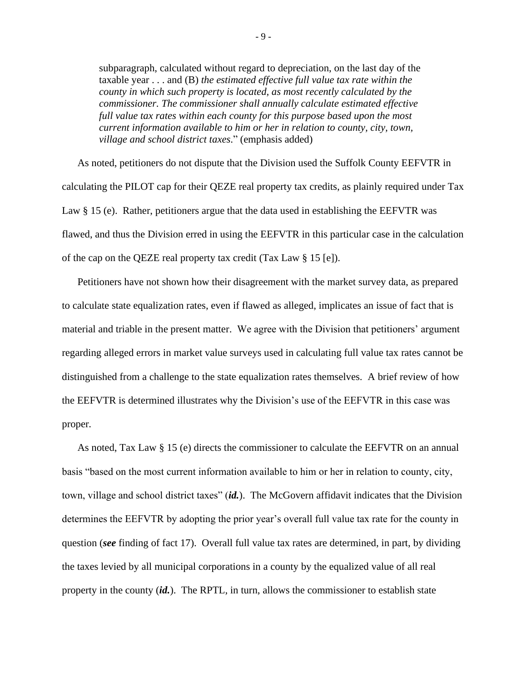subparagraph, calculated without regard to depreciation, on the last day of the taxable year . . . and (B) *the estimated effective full value tax rate within the county in which such property is located, as most recently calculated by the commissioner. The commissioner shall annually calculate estimated effective full value tax rates within each county for this purpose based upon the most current information available to him or her in relation to county, city, town, village and school district taxes*." (emphasis added)

As noted, petitioners do not dispute that the Division used the Suffolk County EEFVTR in calculating the PILOT cap for their QEZE real property tax credits, as plainly required under Tax Law § 15 (e). Rather, petitioners argue that the data used in establishing the EEFVTR was flawed, and thus the Division erred in using the EEFVTR in this particular case in the calculation of the cap on the QEZE real property tax credit (Tax Law § 15 [e]).

Petitioners have not shown how their disagreement with the market survey data, as prepared to calculate state equalization rates, even if flawed as alleged, implicates an issue of fact that is material and triable in the present matter. We agree with the Division that petitioners' argument regarding alleged errors in market value surveys used in calculating full value tax rates cannot be distinguished from a challenge to the state equalization rates themselves. A brief review of how the EEFVTR is determined illustrates why the Division's use of the EEFVTR in this case was proper.

As noted, Tax Law § 15 (e) directs the commissioner to calculate the EEFVTR on an annual basis "based on the most current information available to him or her in relation to county, city, town, village and school district taxes" (*id.*). The McGovern affidavit indicates that the Division determines the EEFVTR by adopting the prior year's overall full value tax rate for the county in question (*see* finding of fact 17). Overall full value tax rates are determined, in part, by dividing the taxes levied by all municipal corporations in a county by the equalized value of all real property in the county (*id.*). The RPTL, in turn, allows the commissioner to establish state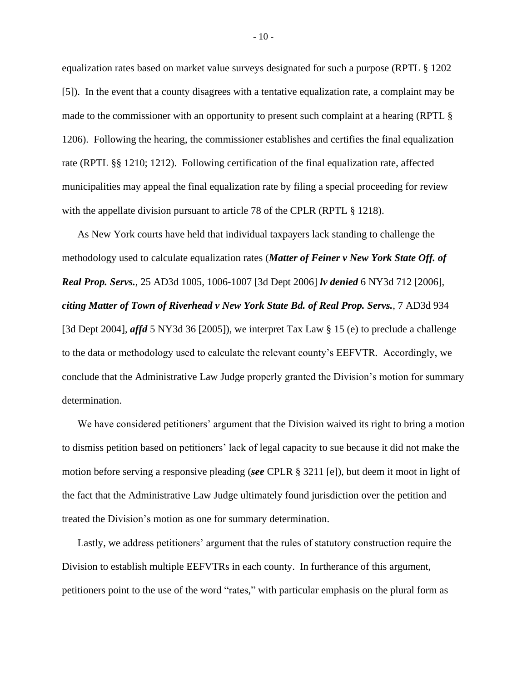equalization rates based on market value surveys designated for such a purpose (RPTL § 1202 [5]). In the event that a county disagrees with a tentative equalization rate, a complaint may be made to the commissioner with an opportunity to present such complaint at a hearing (RPTL § 1206). Following the hearing, the commissioner establishes and certifies the final equalization rate (RPTL §§ 1210; 1212). Following certification of the final equalization rate, affected municipalities may appeal the final equalization rate by filing a special proceeding for review with the appellate division pursuant to article 78 of the CPLR (RPTL § 1218).

As New York courts have held that individual taxpayers lack standing to challenge the methodology used to calculate equalization rates (*Matter of Feiner v New York State Off. of Real Prop. Servs.*, 25 AD3d 1005, 1006-1007 [3d Dept 2006] *lv denied* 6 NY3d 712 [2006], *citing Matter of Town of Riverhead v New York State Bd. of Real Prop. Servs.*, 7 AD3d 934 [3d Dept 2004], *affd* 5 NY3d 36 [2005]), we interpret Tax Law § 15 (e) to preclude a challenge to the data or methodology used to calculate the relevant county's EEFVTR. Accordingly, we conclude that the Administrative Law Judge properly granted the Division's motion for summary determination.

We have considered petitioners' argument that the Division waived its right to bring a motion to dismiss petition based on petitioners' lack of legal capacity to sue because it did not make the motion before serving a responsive pleading (*see* CPLR § 3211 [e]), but deem it moot in light of the fact that the Administrative Law Judge ultimately found jurisdiction over the petition and treated the Division's motion as one for summary determination.

Lastly, we address petitioners' argument that the rules of statutory construction require the Division to establish multiple EEFVTRs in each county. In furtherance of this argument, petitioners point to the use of the word "rates," with particular emphasis on the plural form as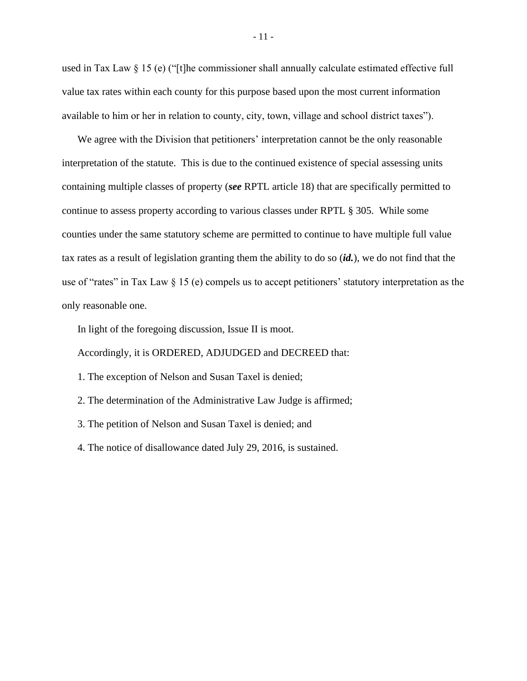used in Tax Law § 15 (e) ("[t]he commissioner shall annually calculate estimated effective full value tax rates within each county for this purpose based upon the most current information available to him or her in relation to county, city, town, village and school district taxes").

We agree with the Division that petitioners' interpretation cannot be the only reasonable interpretation of the statute. This is due to the continued existence of special assessing units containing multiple classes of property (*see* RPTL article 18) that are specifically permitted to continue to assess property according to various classes under RPTL § 305. While some counties under the same statutory scheme are permitted to continue to have multiple full value tax rates as a result of legislation granting them the ability to do so (*id.*), we do not find that the use of "rates" in Tax Law § 15 (e) compels us to accept petitioners' statutory interpretation as the only reasonable one.

In light of the foregoing discussion, Issue II is moot.

Accordingly, it is ORDERED, ADJUDGED and DECREED that:

- 1. The exception of Nelson and Susan Taxel is denied;
- 2. The determination of the Administrative Law Judge is affirmed;
- 3. The petition of Nelson and Susan Taxel is denied; and
- 4. The notice of disallowance dated July 29, 2016, is sustained.